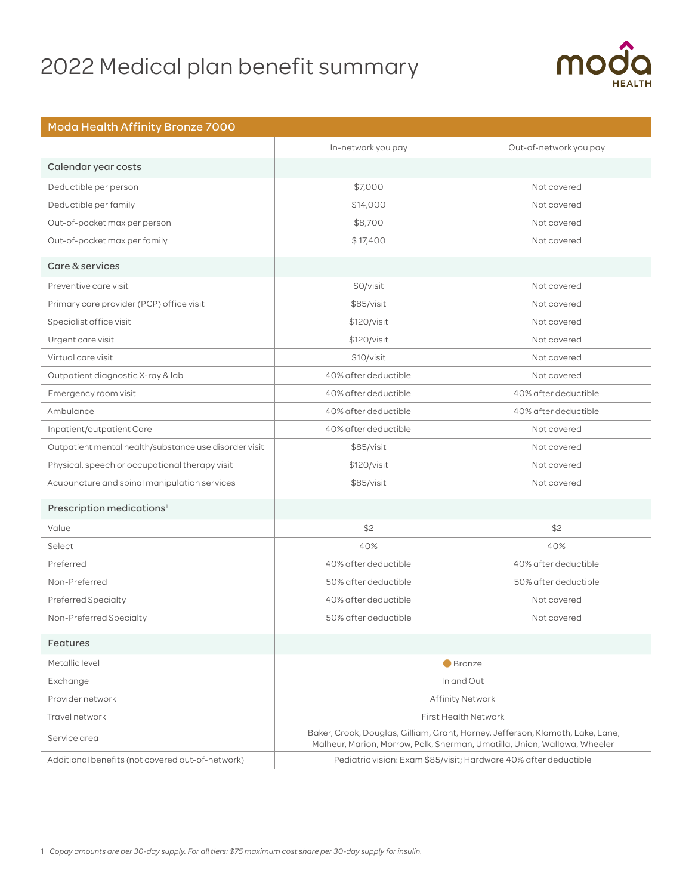# 2022 Medical plan benefit summary



## Moda Health Affinity Bronze 7000 In-network you pay Out-of-network you pay Calendar year costs Deductible per person and the set of the set of the set of the set of the set of the set of the set of the set of the set of the set of the set of the set of the set of the set of the set of the set of the set of the set o Deductible per family **Example 20** Not covered Out-of-pocket max per person and the set of the set of the set of the set of the set of the set of the set of the set of the set of the set of the set of the set of the set of the set of the set of the set of the set of th Out-of-pocket max per family and the set of the set of the set of the set of the set of the set of the set of the set of the set of the set of the set of the set of the set of the set of the set of the set of the set of th Care & services Preventive care visit the state of the state of the state of the state of the SO/visit Allen Solomont and the SO/visit Not covered Primary care provider (PCP) office visit  $$85/visit$  And covered Specialist office visit the state of the state of the state of the state of the state of the state of the state  $\frac{1}{2}$  S120/visit  $\frac{1}{2}$  Not covered Urgent care visit Not covered and the Urgent Care visit Not covered that the S120/visit Not covered Virtual care visit \$10/visit Not covered Outpatient diagnostic X-ray & lab 40% after deductible  $40\%$  after deductible  $\blacksquare$ Emergency room visit and the state of the 40% after deductible and the 40% after deductible 40% after deductible Ambulance 40% after deductible 40% after deductible Inpatient/outpatient Care and Care and Care and A0% after deductible and A0% after deductible  $\sim$  A0% after deductible Outpatient mental health/substance use disorder visit and the state of the state of the state of the Not covered Physical, speech or occupational therapy visit  $$120/visit$ Acupuncture and spinal manipulation services and the state of the state of the state of the SAS/visit Not covered Prescription medications<sup>1</sup> Value  $\$2$   $\$2$   $\$2$   $\$2$   $\$3$ Select 40% 40% Preferred 20% after deductible 40% after deductible 40% after deductible 40% after deductible Non-Preferred 50% after deductible 50% after deductible Preferred Specialty **According to the Covered** According to the 40% after deductible Not covered Non-Preferred Specialty **Not covered**  $\blacksquare$  50% after deductible  $\blacksquare$  Not covered Features Metallic level **and the Bronze** Bronze and the Bronze Bronze and the Bronze Bronze and the Bronze Bronze and the B Exchange In and Out in a set of the set of the set of the set of the set of the set of the set of the set of th Provider network **Affinity Network** Affinity Network Affinity Network Affinity Network Travel network First Health Network First Health Network First Health Network First Health Network Service area Baker, Crook, Douglas, Gilliam, Grant, Harney, Jefferson, Klamath, Lake, Lane, Malheur, Marion, Morrow, Polk, Sherman, Umatilla, Union, Wallowa, Wheeler

Additional benefits (not covered out-of-network) Pediatric vision: Exam \$85/visit; Hardware 40% after deductible